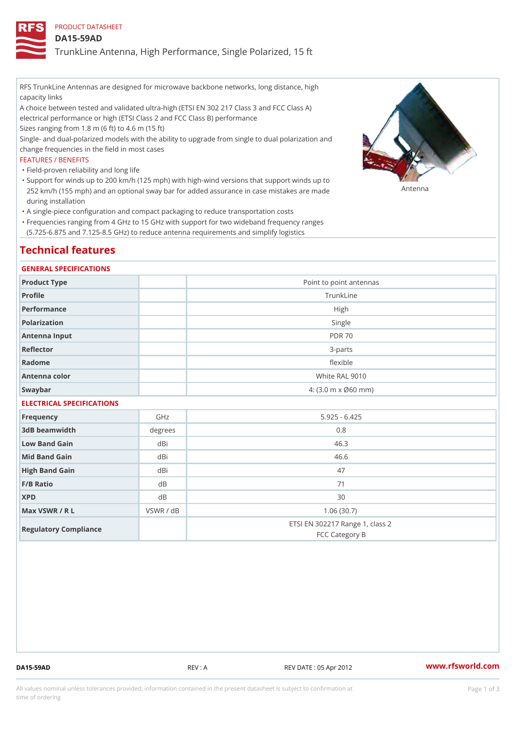PRODUCT DATASHEET

DA15-59AD

TrunkLine Antenna, High Performance, Single Polarized, 15 ft

RFS TrunkLine Antennas are designed for microwave backbone networks, long distance, high capacity links

A choice between tested and validated ultra-high (ETSI EN 302 217 Class 3 and FCC Class A) electrical performance or high (ETSI Class 2 and FCC Class B) performance

Sizes ranging from 1.8 m (6 ft) to 4.6 m (15 ft)

Single- and dual-polarized models with the ability to upgrade from single to dual polarization and change frequencies in the field in most cases

#### FEATURES / BENEFITS

"Field-proven reliability and long life

- Support for winds up to 200 km/h (125 mph) with high-wind versions that support winds up to " 252 km/h (155 mph) and an optional sway bar for added assurance in case m 48 #8 R B & are made during installation
- "A single-piece configuration and compact packaging to reduce transportation costs
- Frequencies ranging from 4 GHz to 15 GHz with support for two wideband frequency ranges " (5.725-6.875 and 7.125-8.5 GHz) to reduce antenna requirements and simplify logistics

# Technical features

#### GENERAL SPECIFICATIONS

| Product Type  | Point to point antennas                                 |  |
|---------------|---------------------------------------------------------|--|
| Profile       | TrunkLine                                               |  |
| Performance   | High                                                    |  |
| Polarization  | Single                                                  |  |
| Antenna Input | <b>PDR 70</b>                                           |  |
| Reflector     | 3 - parts                                               |  |
| Radome        | flexible                                                |  |
| Antenna color | White RAL 9010                                          |  |
| Swaybar       | $4: (3.0 \, \text{m} \times \emptyset 60 \, \text{mm})$ |  |
|               |                                                         |  |

## ELECTRICAL SPECIFICATIONS

| Frequency             | GHz       | $5.925 - 6.425$                                   |
|-----------------------|-----------|---------------------------------------------------|
| 3dB beamwidth         | degree    | 0.8                                               |
| Low Band Gain         | dBi       | 46.3                                              |
| Mid Band Gain         | dBi       | 46.6                                              |
| High Band Gain        | dBi       | 47                                                |
| $F/B$ Ratio           | d B       | 71                                                |
| <b>XPD</b>            | d B       | 30                                                |
| Max VSWR / R L        | VSWR / dB | 1.06(30.7)                                        |
| Regulatory Compliance |           | ETSI EN 302217 Range 1, class 2<br>FCC Category B |

DA15-59AD REV : A REV DATE : 05 Apr 2012 [www.](https://www.rfsworld.com)rfsworld.com

All values nominal unless tolerances provided; information contained in the present datasheet is subject to Pcapgeign mation time of ordering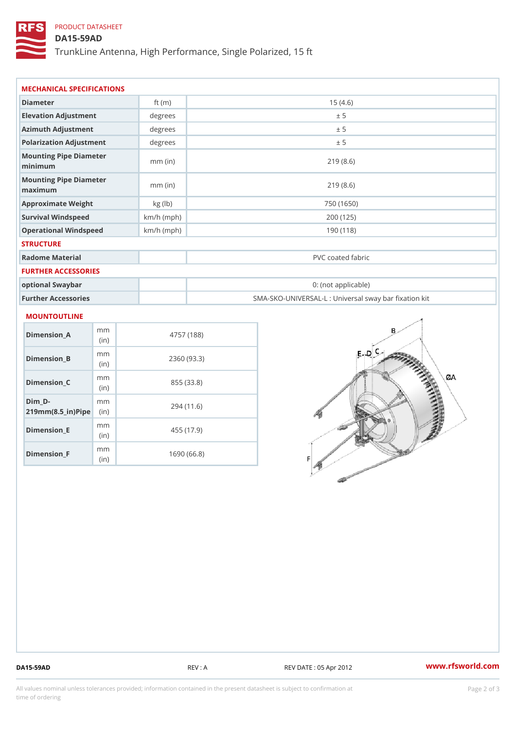# PRODUCT DATASHEET

# DA15-59AD

TrunkLine Antenna, High Performance, Single Polarized, 15 ft

| Diameter                                      | ft $(m)$     | 15(4.6)                                           |
|-----------------------------------------------|--------------|---------------------------------------------------|
| Elevation Adjustment                          | degrees      | ± 5                                               |
| Azimuth Adjustment                            | degrees      | ± 5                                               |
| Polarization Adjustment                       | degrees      | ± 5                                               |
| Mounting Pipe Diameter<br>minimaum            | $mm$ (in)    | 219(8.6)                                          |
| Mounting Pipe Diameter<br>$m$ a x i $m$ u $m$ | $mm$ (in)    | 219(8.6)                                          |
| Approximate Weight                            | kg(lb)       | 750 (1650)                                        |
| Survival Windspeed                            | $km/h$ (mph) | 200 (125)                                         |
| Operational Windspeed                         | $km/h$ (mph) | 190 (118)                                         |
| <b>STRUCTURE</b>                              |              |                                                   |
| Radome Material                               |              | PVC coated fabric                                 |
| FURTHER ACCESSORIES                           |              |                                                   |
| optional Swaybar                              |              | 0: (not applicable)                               |
| Further Accessories                           |              | SMA-SKO-UNIVERSAL-L : Universal sway bar fixation |

#### Dimension\_A mm (in) 4757 (188) Dimension\_B m<sub>m</sub> (in) 2360 (93.3) Dimension\_C mm (in) 855 (33.8) Dim\_D m m

| $U$ IIII $U$ -<br>$219mm(8.5_{ir})$ $Rip$ | - 111-111   | 294 (11.6) |
|-------------------------------------------|-------------|------------|
| $Dimension$ $E$                           | m m<br>(in) | 455 (17.9) |
| $Dimension_F$                             | m m<br>(in) | 1690(66.8) |

DA15-59AD REV : A REV DATE : 05 Apr 2012 [www.](https://www.rfsworld.com)rfsworld.com